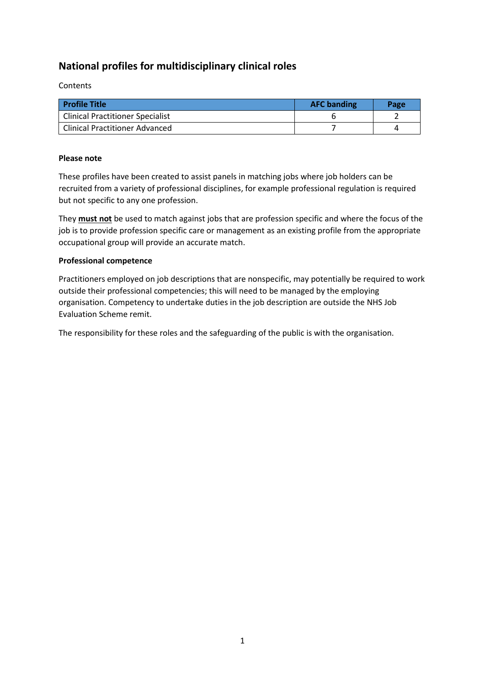# **National profiles for multidisciplinary clinical roles**

Contents

| <b>Profile Title</b>                    | <b>AFC banding</b> | Page |
|-----------------------------------------|--------------------|------|
| <b>Clinical Practitioner Specialist</b> |                    |      |
| <b>Clinical Practitioner Advanced</b>   |                    |      |

#### **Please note**

These profiles have been created to assist panels in matching jobs where job holders can be recruited from a variety of professional disciplines, for example professional regulation is required but not specific to any one profession.

They **must not** be used to match against jobs that are profession specific and where the focus of the job is to provide profession specific care or management as an existing profile from the appropriate occupational group will provide an accurate match.

#### **Professional competence**

Practitioners employed on job descriptions that are nonspecific, may potentially be required to work outside their professional competencies; this will need to be managed by the employing organisation. Competency to undertake duties in the job description are outside the NHS Job Evaluation Scheme remit.

The responsibility for these roles and the safeguarding of the public is with the organisation.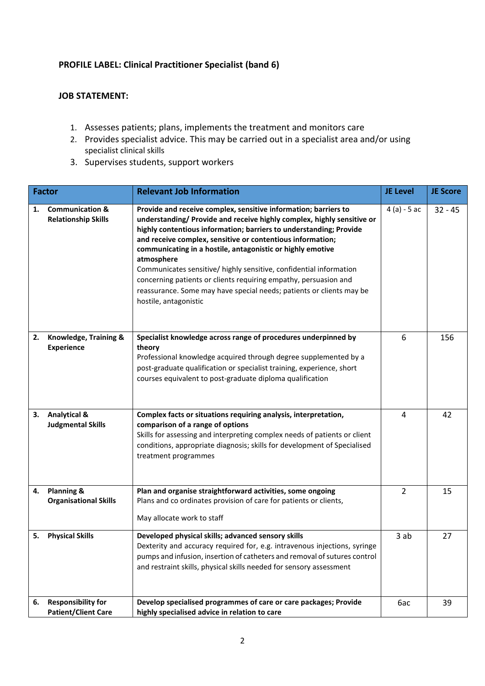## **PROFILE LABEL: Clinical Practitioner Specialist (band 6)**

### **JOB STATEMENT:**

- 1. Assesses patients; plans, implements the treatment and monitors care
- 2. Provides specialist advice. This may be carried out in a specialist area and/or using specialist clinical skills
- 3. Supervises students, support workers

|    | <b>Factor</b>                                            | <b>Relevant Job Information</b>                                                                                                                                                                                                                                                                                                                                                                                                                                                                                                                                                                      | <b>JE Level</b> | <b>JE Score</b> |
|----|----------------------------------------------------------|------------------------------------------------------------------------------------------------------------------------------------------------------------------------------------------------------------------------------------------------------------------------------------------------------------------------------------------------------------------------------------------------------------------------------------------------------------------------------------------------------------------------------------------------------------------------------------------------------|-----------------|-----------------|
| 1. | <b>Communication &amp;</b><br><b>Relationship Skills</b> | Provide and receive complex, sensitive information; barriers to<br>understanding/ Provide and receive highly complex, highly sensitive or<br>highly contentious information; barriers to understanding; Provide<br>and receive complex, sensitive or contentious information;<br>communicating in a hostile, antagonistic or highly emotive<br>atmosphere<br>Communicates sensitive/ highly sensitive, confidential information<br>concerning patients or clients requiring empathy, persuasion and<br>reassurance. Some may have special needs; patients or clients may be<br>hostile, antagonistic | $4(a) - 5ac$    | $32 - 45$       |
| 2. | Knowledge, Training &<br><b>Experience</b>               | Specialist knowledge across range of procedures underpinned by<br>theory<br>Professional knowledge acquired through degree supplemented by a<br>post-graduate qualification or specialist training, experience, short<br>courses equivalent to post-graduate diploma qualification                                                                                                                                                                                                                                                                                                                   | 6               | 156             |
| 3. | <b>Analytical &amp;</b><br><b>Judgmental Skills</b>      | Complex facts or situations requiring analysis, interpretation,<br>comparison of a range of options<br>Skills for assessing and interpreting complex needs of patients or client<br>conditions, appropriate diagnosis; skills for development of Specialised<br>treatment programmes                                                                                                                                                                                                                                                                                                                 | 4               | 42              |
| 4. | Planning &<br><b>Organisational Skills</b>               | Plan and organise straightforward activities, some ongoing<br>Plans and co ordinates provision of care for patients or clients,<br>May allocate work to staff                                                                                                                                                                                                                                                                                                                                                                                                                                        | 2               | 15              |
| 5. | <b>Physical Skills</b>                                   | Developed physical skills; advanced sensory skills<br>Dexterity and accuracy required for, e.g. intravenous injections, syringe<br>pumps and infusion, insertion of catheters and removal of sutures control<br>and restraint skills, physical skills needed for sensory assessment                                                                                                                                                                                                                                                                                                                  | 3 ab            | 27              |
| 6. | <b>Responsibility for</b><br><b>Patient/Client Care</b>  | Develop specialised programmes of care or care packages; Provide<br>highly specialised advice in relation to care                                                                                                                                                                                                                                                                                                                                                                                                                                                                                    | 6ac             | 39              |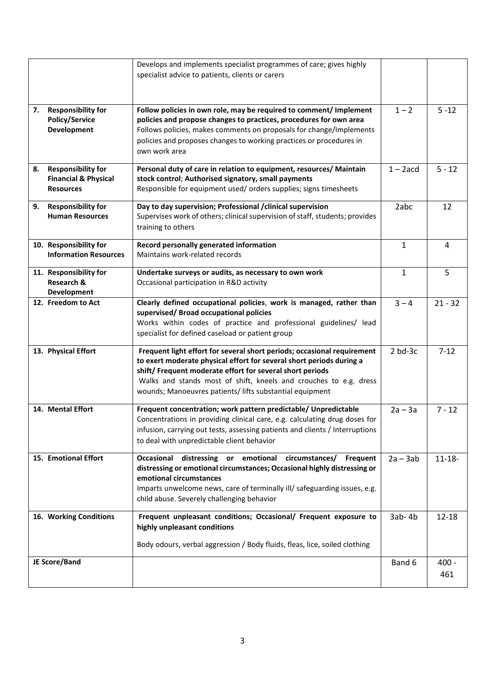|    |                                                                                  | Develops and implements specialist programmes of care; gives highly<br>specialist advice to patients, clients or carers                                                                                                                                                                                                                       |              |                |
|----|----------------------------------------------------------------------------------|-----------------------------------------------------------------------------------------------------------------------------------------------------------------------------------------------------------------------------------------------------------------------------------------------------------------------------------------------|--------------|----------------|
| 7. | <b>Responsibility for</b><br><b>Policy/Service</b><br>Development                | Follow policies in own role, may be required to comment/ Implement<br>policies and propose changes to practices, procedures for own area<br>Follows policies, makes comments on proposals for change/Implements<br>policies and proposes changes to working practices or procedures in<br>own work area                                       | $1 - 2$      | $5 - 12$       |
| 8. | <b>Responsibility for</b><br><b>Financial &amp; Physical</b><br><b>Resources</b> | Personal duty of care in relation to equipment, resources/ Maintain<br>stock control; Authorised signatory, small payments<br>Responsible for equipment used/ orders supplies; signs timesheets                                                                                                                                               | $1 - 2acd$   | $5 - 12$       |
| 9. | <b>Responsibility for</b><br><b>Human Resources</b>                              | Day to day supervision; Professional / clinical supervision<br>Supervises work of others; clinical supervision of staff, students; provides<br>training to others                                                                                                                                                                             | 2abc         | 12             |
|    | 10. Responsibility for<br><b>Information Resources</b>                           | Record personally generated information<br>Maintains work-related records                                                                                                                                                                                                                                                                     | $\mathbf{1}$ | 4              |
|    | 11. Responsibility for<br>Research &<br>Development                              | Undertake surveys or audits, as necessary to own work<br>Occasional participation in R&D activity                                                                                                                                                                                                                                             | $\mathbf{1}$ | 5              |
|    | 12. Freedom to Act                                                               | Clearly defined occupational policies, work is managed, rather than<br>supervised/ Broad occupational policies<br>Works within codes of practice and professional guidelines/ lead<br>specialist for defined caseload or patient group                                                                                                        | $3 - 4$      | $21 - 32$      |
|    | 13. Physical Effort                                                              | Frequent light effort for several short periods; occasional requirement<br>to exert moderate physical effort for several short periods during a<br>shift/ Frequent moderate effort for several short periods<br>Walks and stands most of shift, kneels and crouches to e.g. dress<br>wounds; Manoeuvres patients/ lifts substantial equipment | $2$ bd- $3c$ | $7 - 12$       |
|    | 14. Mental Effort                                                                | Frequent concentration; work pattern predictable/ Unpredictable<br>Concentrations in providing clinical care, e.g. calculating drug doses for<br>infusion, carrying out tests, assessing patients and clients / Interruptions<br>to deal with unpredictable client behavior                                                                   | $2a - 3a$    | $7 - 12$       |
|    | 15. Emotional Effort                                                             | Occasional distressing or emotional circumstances/<br>Frequent<br>distressing or emotional circumstances; Occasional highly distressing or<br>emotional circumstances<br>Imparts unwelcome news, care of terminally ill/ safeguarding issues, e.g.<br>child abuse. Severely challenging behavior                                              | $2a - 3ab$   | $11 - 18 -$    |
|    | 16. Working Conditions                                                           | Frequent unpleasant conditions; Occasional/ Frequent exposure to<br>highly unpleasant conditions<br>Body odours, verbal aggression / Body fluids, fleas, lice, soiled clothing                                                                                                                                                                | $3ab - 4b$   | $12 - 18$      |
|    | JE Score/Band                                                                    |                                                                                                                                                                                                                                                                                                                                               | Band 6       | $400 -$<br>461 |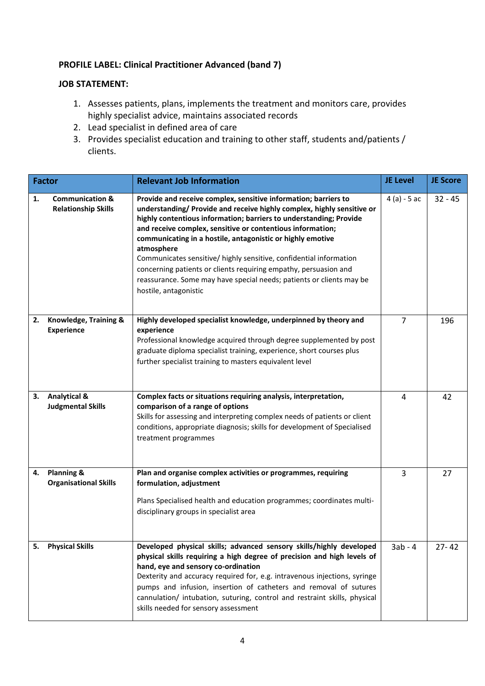# **PROFILE LABEL: Clinical Practitioner Advanced (band 7)**

### **JOB STATEMENT:**

- 1. Assesses patients, plans, implements the treatment and monitors care, provides highly specialist advice, maintains associated records
- 2. Lead specialist in defined area of care
- 3. Provides specialist education and training to other staff, students and/patients / clients.

|    | <b>Factor</b>                                            | <b>Relevant Job Information</b>                                                                                                                                                                                                                                                                                                                                                                                                                                                                                                                                                                      | <b>JE Level</b> | <b>JE Score</b> |
|----|----------------------------------------------------------|------------------------------------------------------------------------------------------------------------------------------------------------------------------------------------------------------------------------------------------------------------------------------------------------------------------------------------------------------------------------------------------------------------------------------------------------------------------------------------------------------------------------------------------------------------------------------------------------------|-----------------|-----------------|
| 1. | <b>Communication &amp;</b><br><b>Relationship Skills</b> | Provide and receive complex, sensitive information; barriers to<br>understanding/ Provide and receive highly complex, highly sensitive or<br>highly contentious information; barriers to understanding; Provide<br>and receive complex, sensitive or contentious information;<br>communicating in a hostile, antagonistic or highly emotive<br>atmosphere<br>Communicates sensitive/ highly sensitive, confidential information<br>concerning patients or clients requiring empathy, persuasion and<br>reassurance. Some may have special needs; patients or clients may be<br>hostile, antagonistic | $4(a) - 5ac$    | $32 - 45$       |
| 2. | Knowledge, Training &<br><b>Experience</b>               | Highly developed specialist knowledge, underpinned by theory and<br>experience<br>Professional knowledge acquired through degree supplemented by post<br>graduate diploma specialist training, experience, short courses plus<br>further specialist training to masters equivalent level                                                                                                                                                                                                                                                                                                             | 7               | 196             |
| 3. | <b>Analytical &amp;</b><br><b>Judgmental Skills</b>      | Complex facts or situations requiring analysis, interpretation,<br>comparison of a range of options<br>Skills for assessing and interpreting complex needs of patients or client<br>conditions, appropriate diagnosis; skills for development of Specialised<br>treatment programmes                                                                                                                                                                                                                                                                                                                 | 4               | 42              |
| 4. | <b>Planning &amp;</b><br><b>Organisational Skills</b>    | Plan and organise complex activities or programmes, requiring<br>formulation, adjustment<br>Plans Specialised health and education programmes; coordinates multi-<br>disciplinary groups in specialist area                                                                                                                                                                                                                                                                                                                                                                                          | 3               | 27              |
| 5. | <b>Physical Skills</b>                                   | Developed physical skills; advanced sensory skills/highly developed<br>physical skills requiring a high degree of precision and high levels of<br>hand, eye and sensory co-ordination<br>Dexterity and accuracy required for, e.g. intravenous injections, syringe<br>pumps and infusion, insertion of catheters and removal of sutures<br>cannulation/ intubation, suturing, control and restraint skills, physical<br>skills needed for sensory assessment                                                                                                                                         | $3ab - 4$       | $27 - 42$       |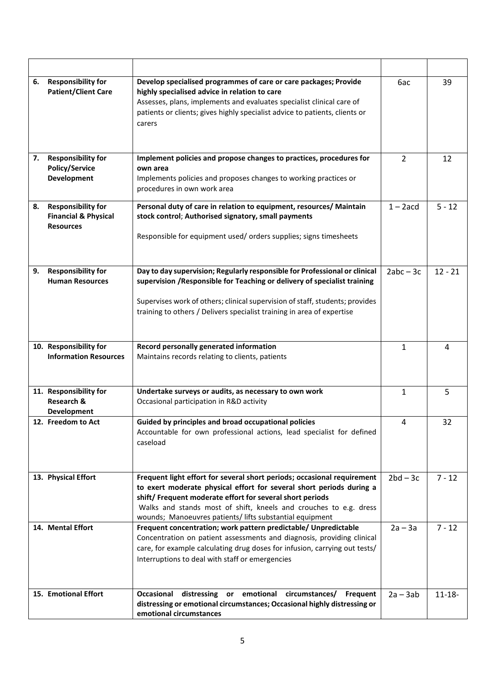| 6. | <b>Responsibility for</b><br><b>Patient/Client Care</b>                          | Develop specialised programmes of care or care packages; Provide<br>highly specialised advice in relation to care<br>Assesses, plans, implements and evaluates specialist clinical care of<br>patients or clients; gives highly specialist advice to patients, clients or<br>carers                                                           | 6ac            | 39        |
|----|----------------------------------------------------------------------------------|-----------------------------------------------------------------------------------------------------------------------------------------------------------------------------------------------------------------------------------------------------------------------------------------------------------------------------------------------|----------------|-----------|
| 7. | <b>Responsibility for</b><br><b>Policy/Service</b><br><b>Development</b>         | Implement policies and propose changes to practices, procedures for<br>own area<br>Implements policies and proposes changes to working practices or<br>procedures in own work area                                                                                                                                                            | $\overline{2}$ | 12        |
| 8. | <b>Responsibility for</b><br><b>Financial &amp; Physical</b><br><b>Resources</b> | Personal duty of care in relation to equipment, resources/ Maintain<br>stock control; Authorised signatory, small payments<br>Responsible for equipment used/ orders supplies; signs timesheets                                                                                                                                               | $1 - 2acd$     | $5 - 12$  |
| 9. | <b>Responsibility for</b><br><b>Human Resources</b>                              | Day to day supervision; Regularly responsible for Professional or clinical<br>supervision / Responsible for Teaching or delivery of specialist training<br>Supervises work of others; clinical supervision of staff, students; provides<br>training to others / Delivers specialist training in area of expertise                             | $2abc - 3c$    | $12 - 21$ |
|    | 10. Responsibility for<br><b>Information Resources</b>                           | Record personally generated information<br>Maintains records relating to clients, patients                                                                                                                                                                                                                                                    | $\mathbf{1}$   | 4         |
|    | 11. Responsibility for<br><b>Research &amp;</b><br><b>Development</b>            | Undertake surveys or audits, as necessary to own work<br>Occasional participation in R&D activity                                                                                                                                                                                                                                             | $\mathbf{1}$   | 5         |
|    | 12. Freedom to Act                                                               | Guided by principles and broad occupational policies<br>Accountable for own professional actions, lead specialist for defined<br>caseload                                                                                                                                                                                                     | 4              | 32        |
|    | 13. Physical Effort                                                              | Frequent light effort for several short periods; occasional requirement<br>to exert moderate physical effort for several short periods during a<br>shift/ Frequent moderate effort for several short periods<br>Walks and stands most of shift, kneels and crouches to e.g. dress<br>wounds; Manoeuvres patients/ lifts substantial equipment | $2bd - 3c$     | $7 - 12$  |
|    | 14. Mental Effort                                                                | Frequent concentration; work pattern predictable/ Unpredictable<br>Concentration on patient assessments and diagnosis, providing clinical<br>care, for example calculating drug doses for infusion, carrying out tests/<br>Interruptions to deal with staff or emergencies                                                                    | $2a - 3a$      | $7 - 12$  |
|    |                                                                                  |                                                                                                                                                                                                                                                                                                                                               |                |           |